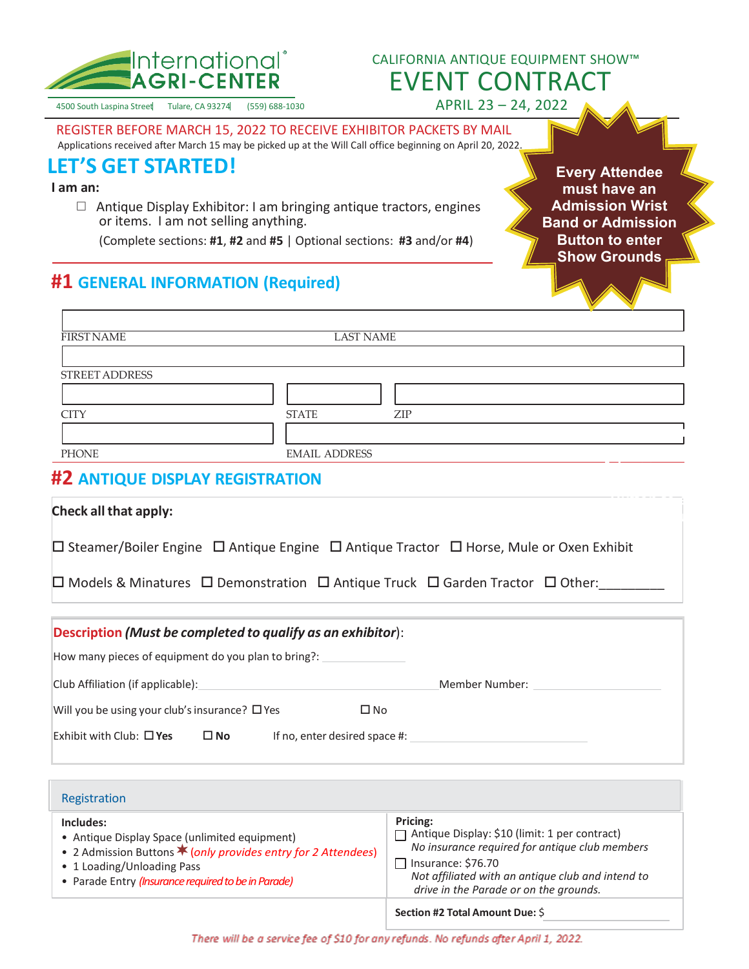

## CALIFORNIA ANTIQUE EQUIPMENT SHOW™ EVENT CONTRACT

APRIL 23 – 24, 2022

4500 South Laspina Street Tulare, CA 93274 (559) 688-1030

REGISTER BEFORE MARCH 15, 2022 TO RECEIVE EXHIBITOR PACKETS BY MAIL<br>Applications received after March 15 may be picked up at the Will Call office beginning on April 20, 2022.

# **LET'S GET STARTED!**

**I am an:**

 $\Box$  Antique Display Exhibitor: I am bringing antique tractors, engines or items. I am not selling anything.

(Complete sections: **#1**, **#2** and **#5** | Optional sections: **#3** and/or **#4**)

**Every Attendee must have an Admission Wrist Band or Admission Button to enter Show Grounds**

## **#1 GENERAL INFORMATION (Required)**

| <b>FIRST NAME</b> | <b>LAST NAME</b>     |
|-------------------|----------------------|
| STREET ADDRESS    |                      |
| <b>CITY</b>       | <b>STATE</b><br>ZIP  |
| <b>PHONE</b>      | <b>EMAIL ADDRESS</b> |

#### **#2 ANTIQUE DISPLAY REGISTRATION**

| Check all that apply:                                                                                                  |  |
|------------------------------------------------------------------------------------------------------------------------|--|
| $\Box$ Steamer/Boiler Engine $\Box$ Antique Engine $\Box$ Antique Tractor $\Box$ Horse, Mule or Oxen Exhibit           |  |
| $\square$ Models & Minatures $\square$ Demonstration $\square$ Antique Truck $\square$ Garden Tractor $\square$ Other: |  |

| Description (Must be completed to qualify as an exhibitor):            |           |                               |                |  |
|------------------------------------------------------------------------|-----------|-------------------------------|----------------|--|
| How many pieces of equipment do you plan to bring?:                    |           |                               |                |  |
| Club Affiliation (if applicable):                                      |           |                               | Member Number: |  |
| Will you be using your club's insurance? $\square$ Yes<br>$\square$ No |           |                               |                |  |
| Exhibit with Club: $\Box$ Yes                                          | $\Box$ No | If no, enter desired space #: |                |  |

| Registration                                                                                                                                                                                                            |                                                                                                                                                                                                                                         |
|-------------------------------------------------------------------------------------------------------------------------------------------------------------------------------------------------------------------------|-----------------------------------------------------------------------------------------------------------------------------------------------------------------------------------------------------------------------------------------|
| Includes:<br>• Antique Display Space (unlimited equipment)<br>• 2 Admission Buttons <b>*</b> (only provides entry for 2 Attendees)<br>• 1 Loading/Unloading Pass<br>• Parade Entry (Insurance required to be in Parade) | Pricing:<br>Antique Display: \$10 (limit: 1 per contract)<br>No insurance required for antique club members<br>$\Box$ Insurance: \$76.70<br>Not affiliated with an antique club and intend to<br>drive in the Parade or on the grounds. |
|                                                                                                                                                                                                                         | Section #2 Total Amount Due: \$                                                                                                                                                                                                         |

There will be a service fee of \$10 for any refunds. No refunds after April 1, 2022.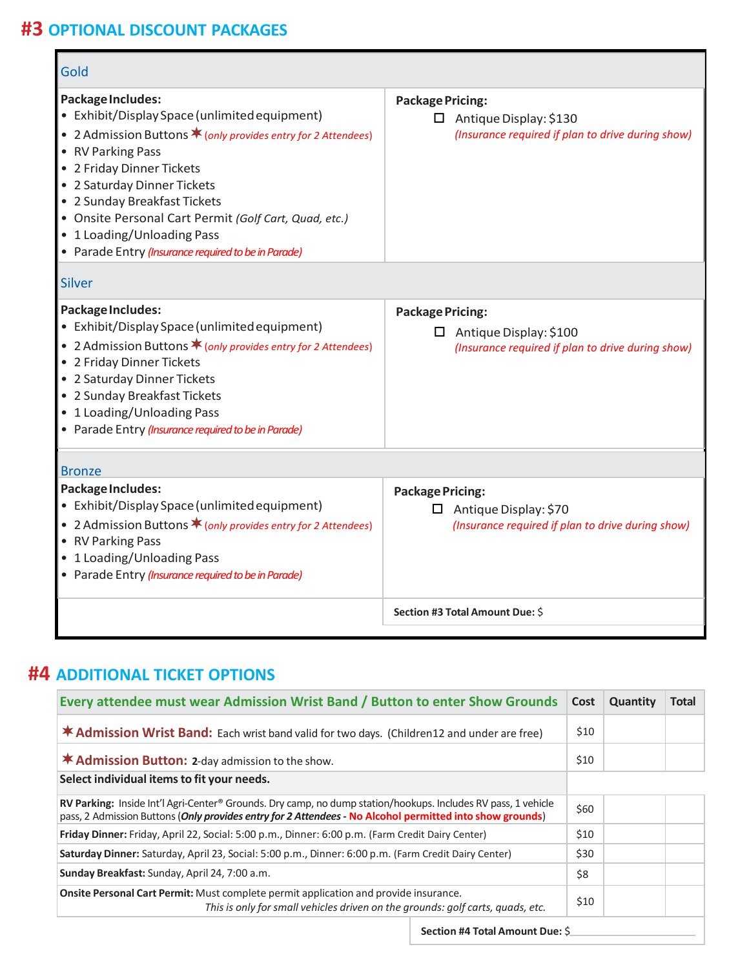## **#3 OPTIONAL DISCOUNT PACKAGES**

| Gold                                                                                                                                                                                                                                                                                                                                                                                                        |                                                                                                               |
|-------------------------------------------------------------------------------------------------------------------------------------------------------------------------------------------------------------------------------------------------------------------------------------------------------------------------------------------------------------------------------------------------------------|---------------------------------------------------------------------------------------------------------------|
| Package Includes:<br>• Exhibit/Display Space (unlimited equipment)<br>• 2 Admission Buttons $\bigstar$ (only provides entry for 2 Attendees)<br>• RV Parking Pass<br>• 2 Friday Dinner Tickets<br>• 2 Saturday Dinner Tickets<br>• 2 Sunday Breakfast Tickets<br>• Onsite Personal Cart Permit (Golf Cart, Quad, etc.)<br>• 1 Loading/Unloading Pass<br>• Parade Entry (Insurance required to be in Parade) | <b>Package Pricing:</b><br>$\Box$ Antique Display: \$130<br>(Insurance required if plan to drive during show) |
| <b>Silver</b>                                                                                                                                                                                                                                                                                                                                                                                               |                                                                                                               |
| Package Includes:<br>• Exhibit/Display Space (unlimited equipment)<br>• 2 Admission Buttons $\bigstar$ (only provides entry for 2 Attendees)<br>• 2 Friday Dinner Tickets<br>• 2 Saturday Dinner Tickets<br>• 2 Sunday Breakfast Tickets<br>• 1 Loading/Unloading Pass<br>• Parade Entry (Insurance required to be in Parade)                                                                               | <b>Package Pricing:</b><br>$\Box$ Antique Display: \$100<br>(Insurance required if plan to drive during show) |
| <b>Bronze</b>                                                                                                                                                                                                                                                                                                                                                                                               |                                                                                                               |
| Package Includes:<br>• Exhibit/Display Space (unlimited equipment)<br>• 2 Admission Buttons * (only provides entry for 2 Attendees)<br>• RV Parking Pass<br>• 1 Loading/Unloading Pass<br>• Parade Entry (Insurance required to be in Parade)                                                                                                                                                               | <b>Package Pricing:</b><br>$\Box$ Antique Display: \$70<br>(Insurance required if plan to drive during show)  |
|                                                                                                                                                                                                                                                                                                                                                                                                             | Section #3 Total Amount Due: \$                                                                               |

## **#4 ADDITIONAL TICKET OPTIONS**

| Every attendee must wear Admission Wrist Band / Button to enter Show Grounds                                                                                                                                                                 | Cost | Quantity | <b>Total</b> |
|----------------------------------------------------------------------------------------------------------------------------------------------------------------------------------------------------------------------------------------------|------|----------|--------------|
| <b>* Admission Wrist Band:</b> Each wrist band valid for two days. (Children12 and under are free)                                                                                                                                           | \$10 |          |              |
| <b>* Admission Button: 2-day admission to the show.</b>                                                                                                                                                                                      | \$10 |          |              |
| Select individual items to fit your needs.                                                                                                                                                                                                   |      |          |              |
| <b>RV Parking:</b> Inside Int'l Agri-Center <sup>®</sup> Grounds. Dry camp, no dump station/hookups. Includes RV pass, 1 vehicle<br>pass, 2 Admission Buttons (Only provides entry for 2 Attendees - No Alcohol permitted into show grounds) | \$60 |          |              |
| Friday Dinner: Friday, April 22, Social: 5:00 p.m., Dinner: 6:00 p.m. (Farm Credit Dairy Center)                                                                                                                                             | \$10 |          |              |
| Saturday Dinner: Saturday, April 23, Social: 5:00 p.m., Dinner: 6:00 p.m. (Farm Credit Dairy Center)                                                                                                                                         | \$30 |          |              |
| Sunday Breakfast: Sunday, April 24, 7:00 a.m.                                                                                                                                                                                                | \$8  |          |              |
| Onsite Personal Cart Permit: Must complete permit application and provide insurance.<br>This is only for small vehicles driven on the grounds: golf carts, quads, etc.                                                                       | \$10 |          |              |
| Section #4 Total Amount Due: \$                                                                                                                                                                                                              |      |          |              |